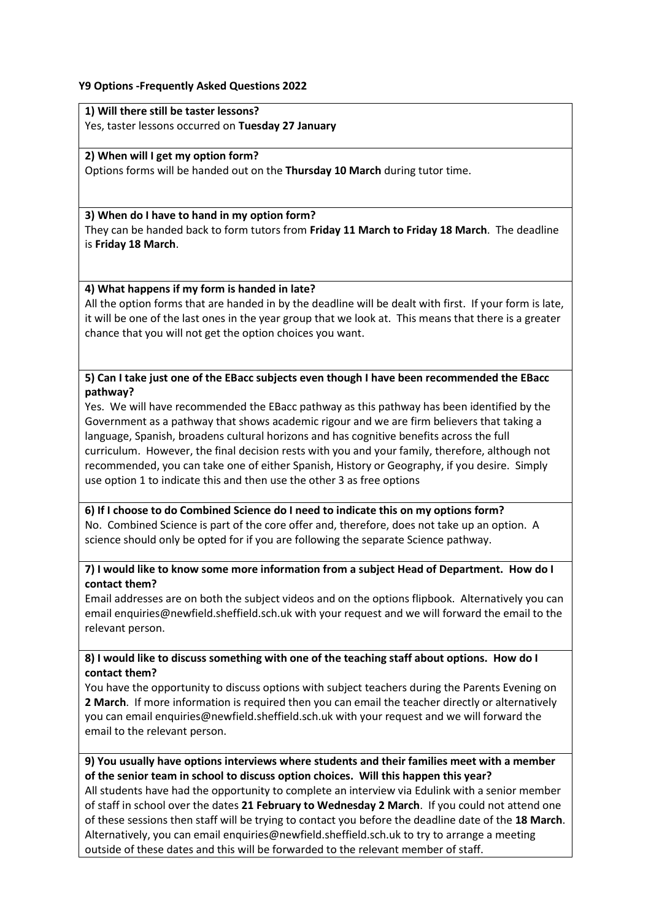## **Y9 Options -Frequently Asked Questions 2022**

**1) Will there still be taster lessons?**  Yes, taster lessons occurred on **Tuesday 27 January**

#### **2) When will I get my option form?**

Options forms will be handed out on the **Thursday 10 March** during tutor time.

#### **3) When do I have to hand in my option form?**

They can be handed back to form tutors from **Friday 11 March to Friday 18 March**. The deadline is **Friday 18 March**.

## **4) What happens if my form is handed in late?**

All the option forms that are handed in by the deadline will be dealt with first. If your form is late, it will be one of the last ones in the year group that we look at. This means that there is a greater chance that you will not get the option choices you want.

## **5) Can I take just one of the EBacc subjects even though I have been recommended the EBacc pathway?**

Yes. We will have recommended the EBacc pathway as this pathway has been identified by the Government as a pathway that shows academic rigour and we are firm believers that taking a language, Spanish, broadens cultural horizons and has cognitive benefits across the full curriculum. However, the final decision rests with you and your family, therefore, although not recommended, you can take one of either Spanish, History or Geography, if you desire. Simply use option 1 to indicate this and then use the other 3 as free options

**6) If I choose to do Combined Science do I need to indicate this on my options form?** No. Combined Science is part of the core offer and, therefore, does not take up an option. A science should only be opted for if you are following the separate Science pathway.

## **7) I would like to know some more information from a subject Head of Department. How do I contact them?**

Email addresses are on both the subject videos and on the options flipbook. Alternatively you can email enquiries@newfield.sheffield.sch.uk with your request and we will forward the email to the relevant person.

# **8) I would like to discuss something with one of the teaching staff about options. How do I contact them?**

You have the opportunity to discuss options with subject teachers during the Parents Evening on **2 March**. If more information is required then you can email the teacher directly or alternatively you can email enquiries@newfield.sheffield.sch.uk with your request and we will forward the email to the relevant person.

## **9) You usually have options interviews where students and their families meet with a member of the senior team in school to discuss option choices. Will this happen this year?**

All students have had the opportunity to complete an interview via Edulink with a senior member of staff in school over the dates **21 February to Wednesday 2 March**. If you could not attend one of these sessions then staff will be trying to contact you before the deadline date of the **18 March**. Alternatively, you can email enquiries@newfield.sheffield.sch.uk to try to arrange a meeting outside of these dates and this will be forwarded to the relevant member of staff.